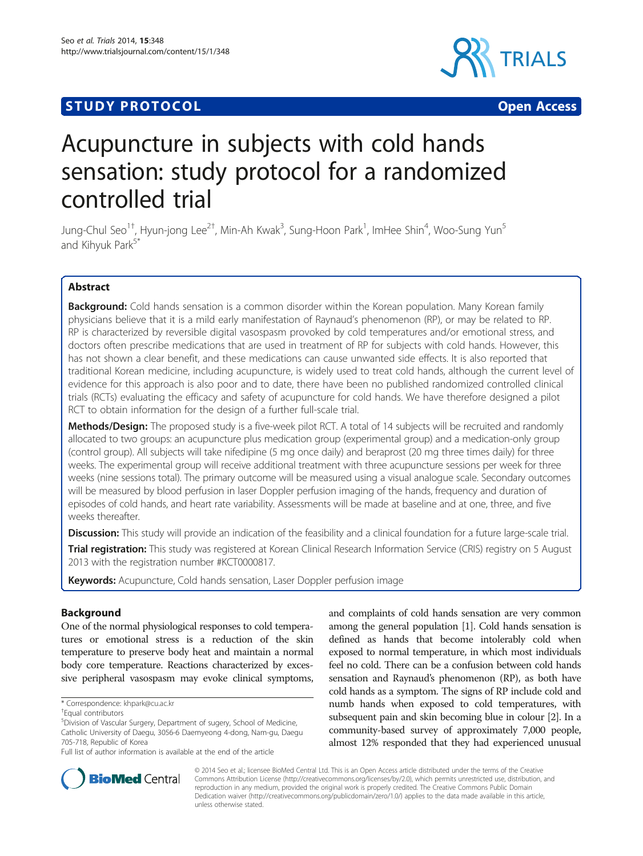# **STUDY PROTOCOL CONSUMING THE CONSUMING OPEN ACCESS**



# Acupuncture in subjects with cold hands sensation: study protocol for a randomized controlled trial

Jung-Chul Seo<sup>1†</sup>, Hyun-jong Lee<sup>2†</sup>, Min-Ah Kwak<sup>3</sup>, Sung-Hoon Park<sup>1</sup>, ImHee Shin<sup>4</sup>, Woo-Sung Yun<sup>5</sup> and Kihyuk Park<sup>5\*</sup>

# Abstract

Background: Cold hands sensation is a common disorder within the Korean population. Many Korean family physicians believe that it is a mild early manifestation of Raynaud's phenomenon (RP), or may be related to RP. RP is characterized by reversible digital vasospasm provoked by cold temperatures and/or emotional stress, and doctors often prescribe medications that are used in treatment of RP for subjects with cold hands. However, this has not shown a clear benefit, and these medications can cause unwanted side effects. It is also reported that traditional Korean medicine, including acupuncture, is widely used to treat cold hands, although the current level of evidence for this approach is also poor and to date, there have been no published randomized controlled clinical trials (RCTs) evaluating the efficacy and safety of acupuncture for cold hands. We have therefore designed a pilot RCT to obtain information for the design of a further full-scale trial.

**Methods/Design:** The proposed study is a five-week pilot RCT. A total of 14 subjects will be recruited and randomly allocated to two groups: an acupuncture plus medication group (experimental group) and a medication-only group (control group). All subjects will take nifedipine (5 mg once daily) and beraprost (20 mg three times daily) for three weeks. The experimental group will receive additional treatment with three acupuncture sessions per week for three weeks (nine sessions total). The primary outcome will be measured using a visual analogue scale. Secondary outcomes will be measured by blood perfusion in laser Doppler perfusion imaging of the hands, frequency and duration of episodes of cold hands, and heart rate variability. Assessments will be made at baseline and at one, three, and five weeks thereafter.

Discussion: This study will provide an indication of the feasibility and a clinical foundation for a future large-scale trial.

Trial registration: This study was registered at Korean Clinical Research Information Service (CRIS) registry on 5 August 2013 with the registration number [#KCT0000817](https://cris.nih.go.kr/cris/search/search_result_st01_en.jsp?seq=3854&type=).

Keywords: Acupuncture, Cold hands sensation, Laser Doppler perfusion image

# Background

One of the normal physiological responses to cold temperatures or emotional stress is a reduction of the skin temperature to preserve body heat and maintain a normal body core temperature. Reactions characterized by excessive peripheral vasospasm may evoke clinical symptoms,

and complaints of cold hands sensation are very common among the general population [\[1\]](#page-5-0). Cold hands sensation is defined as hands that become intolerably cold when exposed to normal temperature, in which most individuals feel no cold. There can be a confusion between cold hands sensation and Raynaud's phenomenon (RP), as both have cold hands as a symptom. The signs of RP include cold and numb hands when exposed to cold temperatures, with subsequent pain and skin becoming blue in colour [\[2](#page-5-0)]. In a community-based survey of approximately 7,000 people, almost 12% responded that they had experienced unusual



© 2014 Seo et al.; licensee BioMed Central Ltd. This is an Open Access article distributed under the terms of the Creative Commons Attribution License [\(http://creativecommons.org/licenses/by/2.0\)](http://creativecommons.org/licenses/by/2.0), which permits unrestricted use, distribution, and reproduction in any medium, provided the original work is properly credited. The Creative Commons Public Domain Dedication waiver [\(http://creativecommons.org/publicdomain/zero/1.0/](http://creativecommons.org/publicdomain/zero/1.0/)) applies to the data made available in this article, unless otherwise stated.

<sup>\*</sup> Correspondence: [khpark@cu.ac.kr](mailto:khpark@cu.ac.kr) †

Equal contributors

<sup>5</sup> Division of Vascular Surgery, Department of sugery, School of Medicine, Catholic University of Daegu, 3056-6 Daemyeong 4-dong, Nam-gu, Daegu 705-718, Republic of Korea

Full list of author information is available at the end of the article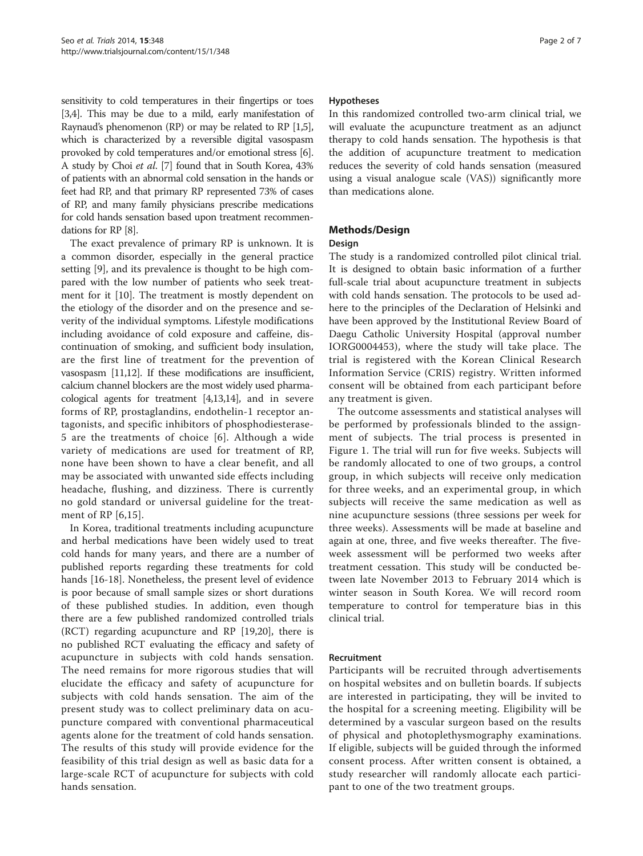sensitivity to cold temperatures in their fingertips or toes [[3,4](#page-5-0)]. This may be due to a mild, early manifestation of Raynaud's phenomenon (RP) or may be related to RP [\[1,5](#page-5-0)], which is characterized by a reversible digital vasospasm provoked by cold temperatures and/or emotional stress [[6](#page-5-0)]. A study by Choi et al. [\[7\]](#page-5-0) found that in South Korea, 43% of patients with an abnormal cold sensation in the hands or feet had RP, and that primary RP represented 73% of cases of RP, and many family physicians prescribe medications for cold hands sensation based upon treatment recommendations for RP [\[8\]](#page-5-0).

The exact prevalence of primary RP is unknown. It is a common disorder, especially in the general practice setting [\[9\]](#page-5-0), and its prevalence is thought to be high compared with the low number of patients who seek treatment for it [[10\]](#page-5-0). The treatment is mostly dependent on the etiology of the disorder and on the presence and severity of the individual symptoms. Lifestyle modifications including avoidance of cold exposure and caffeine, discontinuation of smoking, and sufficient body insulation, are the first line of treatment for the prevention of vasospasm [\[11,12\]](#page-5-0). If these modifications are insufficient, calcium channel blockers are the most widely used pharmacological agents for treatment [[4,13,14](#page-5-0)], and in severe forms of RP, prostaglandins, endothelin-1 receptor antagonists, and specific inhibitors of phosphodiesterase-5 are the treatments of choice [\[6\]](#page-5-0). Although a wide variety of medications are used for treatment of RP, none have been shown to have a clear benefit, and all may be associated with unwanted side effects including headache, flushing, and dizziness. There is currently no gold standard or universal guideline for the treatment of RP [[6](#page-5-0),[15\]](#page-5-0).

In Korea, traditional treatments including acupuncture and herbal medications have been widely used to treat cold hands for many years, and there are a number of published reports regarding these treatments for cold hands [\[16-18](#page-5-0)]. Nonetheless, the present level of evidence is poor because of small sample sizes or short durations of these published studies. In addition, even though there are a few published randomized controlled trials (RCT) regarding acupuncture and RP [\[19,20](#page-5-0)], there is no published RCT evaluating the efficacy and safety of acupuncture in subjects with cold hands sensation. The need remains for more rigorous studies that will elucidate the efficacy and safety of acupuncture for subjects with cold hands sensation. The aim of the present study was to collect preliminary data on acupuncture compared with conventional pharmaceutical agents alone for the treatment of cold hands sensation. The results of this study will provide evidence for the feasibility of this trial design as well as basic data for a large-scale RCT of acupuncture for subjects with cold hands sensation.

#### Hypotheses

In this randomized controlled two-arm clinical trial, we will evaluate the acupuncture treatment as an adjunct therapy to cold hands sensation. The hypothesis is that the addition of acupuncture treatment to medication reduces the severity of cold hands sensation (measured using a visual analogue scale (VAS)) significantly more than medications alone.

# Methods/Design

# Design

The study is a randomized controlled pilot clinical trial. It is designed to obtain basic information of a further full-scale trial about acupuncture treatment in subjects with cold hands sensation. The protocols to be used adhere to the principles of the Declaration of Helsinki and have been approved by the Institutional Review Board of Daegu Catholic University Hospital (approval number IORG0004453), where the study will take place. The trial is registered with the Korean Clinical Research Information Service (CRIS) registry. Written informed consent will be obtained from each participant before any treatment is given.

The outcome assessments and statistical analyses will be performed by professionals blinded to the assignment of subjects. The trial process is presented in Figure [1.](#page-2-0) The trial will run for five weeks. Subjects will be randomly allocated to one of two groups, a control group, in which subjects will receive only medication for three weeks, and an experimental group, in which subjects will receive the same medication as well as nine acupuncture sessions (three sessions per week for three weeks). Assessments will be made at baseline and again at one, three, and five weeks thereafter. The fiveweek assessment will be performed two weeks after treatment cessation. This study will be conducted between late November 2013 to February 2014 which is winter season in South Korea. We will record room temperature to control for temperature bias in this clinical trial.

# Recruitment

Participants will be recruited through advertisements on hospital websites and on bulletin boards. If subjects are interested in participating, they will be invited to the hospital for a screening meeting. Eligibility will be determined by a vascular surgeon based on the results of physical and photoplethysmography examinations. If eligible, subjects will be guided through the informed consent process. After written consent is obtained, a study researcher will randomly allocate each participant to one of the two treatment groups.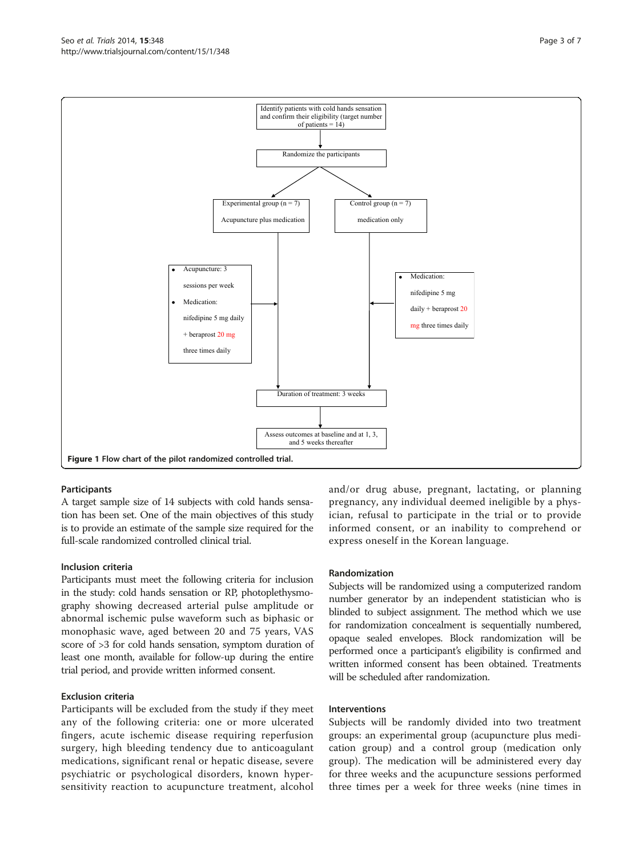<span id="page-2-0"></span>

#### Participants

A target sample size of 14 subjects with cold hands sensation has been set. One of the main objectives of this study is to provide an estimate of the sample size required for the full-scale randomized controlled clinical trial.

#### Inclusion criteria

Participants must meet the following criteria for inclusion in the study: cold hands sensation or RP, photoplethysmography showing decreased arterial pulse amplitude or abnormal ischemic pulse waveform such as biphasic or monophasic wave, aged between 20 and 75 years, VAS score of >3 for cold hands sensation, symptom duration of least one month, available for follow-up during the entire trial period, and provide written informed consent.

# Exclusion criteria

Participants will be excluded from the study if they meet any of the following criteria: one or more ulcerated fingers, acute ischemic disease requiring reperfusion surgery, high bleeding tendency due to anticoagulant medications, significant renal or hepatic disease, severe psychiatric or psychological disorders, known hypersensitivity reaction to acupuncture treatment, alcohol and/or drug abuse, pregnant, lactating, or planning pregnancy, any individual deemed ineligible by a physician, refusal to participate in the trial or to provide informed consent, or an inability to comprehend or express oneself in the Korean language.

# Randomization

Subjects will be randomized using a computerized random number generator by an independent statistician who is blinded to subject assignment. The method which we use for randomization concealment is sequentially numbered, opaque sealed envelopes. Block randomization will be performed once a participant's eligibility is confirmed and written informed consent has been obtained. Treatments will be scheduled after randomization.

# Interventions

Subjects will be randomly divided into two treatment groups: an experimental group (acupuncture plus medication group) and a control group (medication only group). The medication will be administered every day for three weeks and the acupuncture sessions performed three times per a week for three weeks (nine times in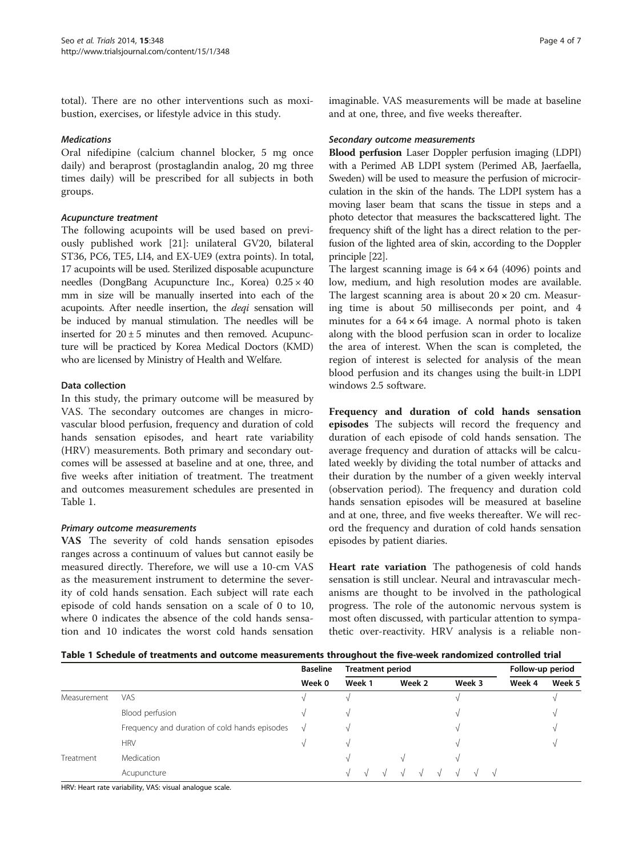total). There are no other interventions such as moxibustion, exercises, or lifestyle advice in this study.

#### **Medications**

Oral nifedipine (calcium channel blocker, 5 mg once daily) and beraprost (prostaglandin analog, 20 mg three times daily) will be prescribed for all subjects in both groups.

# Acupuncture treatment

The following acupoints will be used based on previously published work [[21](#page-5-0)]: unilateral GV20, bilateral ST36, PC6, TE5, LI4, and EX-UE9 (extra points). In total, 17 acupoints will be used. Sterilized disposable acupuncture needles (DongBang Acupuncture Inc., Korea)  $0.25 \times 40$ mm in size will be manually inserted into each of the acupoints. After needle insertion, the *deqi* sensation will be induced by manual stimulation. The needles will be inserted for  $20 \pm 5$  minutes and then removed. Acupuncture will be practiced by Korea Medical Doctors (KMD) who are licensed by Ministry of Health and Welfare.

# Data collection

In this study, the primary outcome will be measured by VAS. The secondary outcomes are changes in microvascular blood perfusion, frequency and duration of cold hands sensation episodes, and heart rate variability (HRV) measurements. Both primary and secondary outcomes will be assessed at baseline and at one, three, and five weeks after initiation of treatment. The treatment and outcomes measurement schedules are presented in Table 1.

# Primary outcome measurements

VAS The severity of cold hands sensation episodes ranges across a continuum of values but cannot easily be measured directly. Therefore, we will use a 10-cm VAS as the measurement instrument to determine the severity of cold hands sensation. Each subject will rate each episode of cold hands sensation on a scale of 0 to 10, where 0 indicates the absence of the cold hands sensation and 10 indicates the worst cold hands sensation imaginable. VAS measurements will be made at baseline and at one, three, and five weeks thereafter.

#### Secondary outcome measurements

Blood perfusion Laser Doppler perfusion imaging (LDPI) with a Perimed AB LDPI system (Perimed AB, Jaerfaella, Sweden) will be used to measure the perfusion of microcirculation in the skin of the hands. The LDPI system has a moving laser beam that scans the tissue in steps and a photo detector that measures the backscattered light. The frequency shift of the light has a direct relation to the perfusion of the lighted area of skin, according to the Doppler principle [[22](#page-5-0)].

The largest scanning image is  $64 \times 64$  (4096) points and low, medium, and high resolution modes are available. The largest scanning area is about  $20 \times 20$  cm. Measuring time is about 50 milliseconds per point, and 4 minutes for a  $64 \times 64$  image. A normal photo is taken along with the blood perfusion scan in order to localize the area of interest. When the scan is completed, the region of interest is selected for analysis of the mean blood perfusion and its changes using the built-in LDPI windows 2.5 software.

Frequency and duration of cold hands sensation episodes The subjects will record the frequency and duration of each episode of cold hands sensation. The average frequency and duration of attacks will be calculated weekly by dividing the total number of attacks and their duration by the number of a given weekly interval (observation period). The frequency and duration cold hands sensation episodes will be measured at baseline and at one, three, and five weeks thereafter. We will record the frequency and duration of cold hands sensation episodes by patient diaries.

Heart rate variation The pathogenesis of cold hands sensation is still unclear. Neural and intravascular mechanisms are thought to be involved in the pathological progress. The role of the autonomic nervous system is most often discussed, with particular attention to sympathetic over-reactivity. HRV analysis is a reliable non-

Table 1 Schedule of treatments and outcome measurements throughout the five-week randomized controlled trial

|             |                                               | <b>Baseline</b><br>Week 0 | <b>Treatment period</b> |        |        | Follow-up period |        |
|-------------|-----------------------------------------------|---------------------------|-------------------------|--------|--------|------------------|--------|
|             |                                               |                           | Week 1                  | Week 2 | Week 3 | Week 4           | Week 5 |
| Measurement | <b>VAS</b>                                    |                           |                         |        |        |                  |        |
|             | Blood perfusion                               |                           |                         |        |        |                  |        |
|             | Frequency and duration of cold hands episodes | $\sim$                    |                         |        |        |                  |        |
|             | <b>HRV</b>                                    |                           |                         |        |        |                  |        |
| Treatment   | Medication                                    |                           |                         |        |        |                  |        |
|             | Acupuncture                                   |                           |                         |        |        |                  |        |

HRV: Heart rate variability, VAS: visual analogue scale.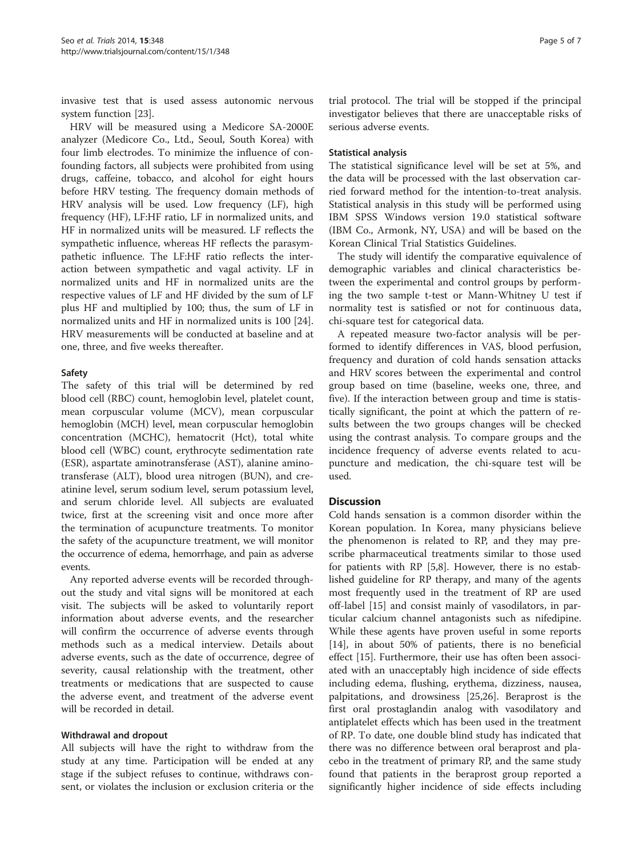invasive test that is used assess autonomic nervous system function [[23\]](#page-5-0).

HRV will be measured using a Medicore SA-2000E analyzer (Medicore Co., Ltd., Seoul, South Korea) with four limb electrodes. To minimize the influence of confounding factors, all subjects were prohibited from using drugs, caffeine, tobacco, and alcohol for eight hours before HRV testing. The frequency domain methods of HRV analysis will be used. Low frequency (LF), high frequency (HF), LF:HF ratio, LF in normalized units, and HF in normalized units will be measured. LF reflects the sympathetic influence, whereas HF reflects the parasympathetic influence. The LF:HF ratio reflects the interaction between sympathetic and vagal activity. LF in normalized units and HF in normalized units are the respective values of LF and HF divided by the sum of LF plus HF and multiplied by 100; thus, the sum of LF in normalized units and HF in normalized units is 100 [\[24](#page-5-0)]. HRV measurements will be conducted at baseline and at one, three, and five weeks thereafter.

#### Safety

The safety of this trial will be determined by red blood cell (RBC) count, hemoglobin level, platelet count, mean corpuscular volume (MCV), mean corpuscular hemoglobin (MCH) level, mean corpuscular hemoglobin concentration (MCHC), hematocrit (Hct), total white blood cell (WBC) count, erythrocyte sedimentation rate (ESR), aspartate aminotransferase (AST), alanine aminotransferase (ALT), blood urea nitrogen (BUN), and creatinine level, serum sodium level, serum potassium level, and serum chloride level. All subjects are evaluated twice, first at the screening visit and once more after the termination of acupuncture treatments. To monitor the safety of the acupuncture treatment, we will monitor the occurrence of edema, hemorrhage, and pain as adverse events.

Any reported adverse events will be recorded throughout the study and vital signs will be monitored at each visit. The subjects will be asked to voluntarily report information about adverse events, and the researcher will confirm the occurrence of adverse events through methods such as a medical interview. Details about adverse events, such as the date of occurrence, degree of severity, causal relationship with the treatment, other treatments or medications that are suspected to cause the adverse event, and treatment of the adverse event will be recorded in detail.

#### Withdrawal and dropout

All subjects will have the right to withdraw from the study at any time. Participation will be ended at any stage if the subject refuses to continue, withdraws consent, or violates the inclusion or exclusion criteria or the

trial protocol. The trial will be stopped if the principal investigator believes that there are unacceptable risks of serious adverse events.

#### Statistical analysis

The statistical significance level will be set at 5%, and the data will be processed with the last observation carried forward method for the intention-to-treat analysis. Statistical analysis in this study will be performed using IBM SPSS Windows version 19.0 statistical software (IBM Co., Armonk, NY, USA) and will be based on the Korean Clinical Trial Statistics Guidelines.

The study will identify the comparative equivalence of demographic variables and clinical characteristics between the experimental and control groups by performing the two sample t-test or Mann-Whitney U test if normality test is satisfied or not for continuous data, chi-square test for categorical data.

A repeated measure two-factor analysis will be performed to identify differences in VAS, blood perfusion, frequency and duration of cold hands sensation attacks and HRV scores between the experimental and control group based on time (baseline, weeks one, three, and five). If the interaction between group and time is statistically significant, the point at which the pattern of results between the two groups changes will be checked using the contrast analysis. To compare groups and the incidence frequency of adverse events related to acupuncture and medication, the chi-square test will be used.

# **Discussion**

Cold hands sensation is a common disorder within the Korean population. In Korea, many physicians believe the phenomenon is related to RP, and they may prescribe pharmaceutical treatments similar to those used for patients with RP [[5,8\]](#page-5-0). However, there is no established guideline for RP therapy, and many of the agents most frequently used in the treatment of RP are used off-label [\[15\]](#page-5-0) and consist mainly of vasodilators, in particular calcium channel antagonists such as nifedipine. While these agents have proven useful in some reports [[14\]](#page-5-0), in about 50% of patients, there is no beneficial effect [\[15\]](#page-5-0). Furthermore, their use has often been associated with an unacceptably high incidence of side effects including edema, flushing, erythema, dizziness, nausea, palpitations, and drowsiness [\[25](#page-5-0)[,26\]](#page-6-0). Beraprost is the first oral prostaglandin analog with vasodilatory and antiplatelet effects which has been used in the treatment of RP. To date, one double blind study has indicated that there was no difference between oral beraprost and placebo in the treatment of primary RP, and the same study found that patients in the beraprost group reported a significantly higher incidence of side effects including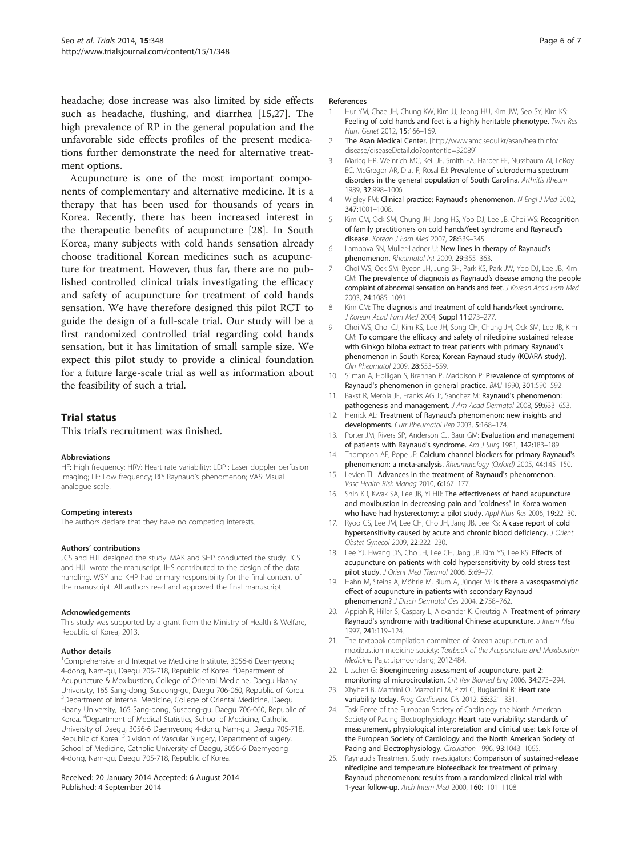<span id="page-5-0"></span>headache; dose increase was also limited by side effects such as headache, flushing, and diarrhea [15,[27\]](#page-6-0). The high prevalence of RP in the general population and the unfavorable side effects profiles of the present medications further demonstrate the need for alternative treatment options.

Acupuncture is one of the most important components of complementary and alternative medicine. It is a therapy that has been used for thousands of years in Korea. Recently, there has been increased interest in the therapeutic benefits of acupuncture [\[28](#page-6-0)]. In South Korea, many subjects with cold hands sensation already choose traditional Korean medicines such as acupuncture for treatment. However, thus far, there are no published controlled clinical trials investigating the efficacy and safety of acupuncture for treatment of cold hands sensation. We have therefore designed this pilot RCT to guide the design of a full-scale trial. Our study will be a first randomized controlled trial regarding cold hands sensation, but it has limitation of small sample size. We expect this pilot study to provide a clinical foundation for a future large-scale trial as well as information about the feasibility of such a trial.

# Trial status

This trial's recruitment was finished.

#### Abbreviations

HF: High frequency; HRV: Heart rate variability; LDPI: Laser doppler perfusion imaging; LF: Low frequency; RP: Raynaud's phenomenon; VAS: Visual analogue scale.

#### Competing interests

The authors declare that they have no competing interests.

#### Authors' contributions

JCS and HJL designed the study. MAK and SHP conducted the study. JCS and HJL wrote the manuscript. IHS contributed to the design of the data handling. WSY and KHP had primary responsibility for the final content of the manuscript. All authors read and approved the final manuscript.

#### Acknowledgements

This study was supported by a grant from the Ministry of Health & Welfare, Republic of Korea, 2013.

#### Author details

<sup>1</sup>Comprehensive and Integrative Medicine Institute, 3056-6 Daemyeong 4-dong, Nam-gu, Daegu 705-718, Republic of Korea. <sup>2</sup>Department of Acupuncture & Moxibustion, College of Oriental Medicine, Daegu Haany University, 165 Sang-dong, Suseong-gu, Daegu 706-060, Republic of Korea. <sup>3</sup>Department of Internal Medicine, College of Oriental Medicine, Daegu Haany University, 165 Sang-dong, Suseong-gu, Daegu 706-060, Republic of Korea. <sup>4</sup> Department of Medical Statistics, School of Medicine, Catholic University of Daegu, 3056-6 Daemyeong 4-dong, Nam-gu, Daegu 705-718, Republic of Korea. <sup>5</sup>Division of Vascular Surgery, Department of sugery, School of Medicine, Catholic University of Daegu, 3056-6 Daemyeong 4-dong, Nam-gu, Daegu 705-718, Republic of Korea.

#### Received: 20 January 2014 Accepted: 6 August 2014 Published: 4 September 2014

#### References

- 1. Hur YM, Chae JH, Chung KW, Kim JJ, Jeong HU, Kim JW, Seo SY, Kim KS: Feeling of cold hands and feet is a highly heritable phenotype. Twin Res Hum Genet 2012, 15:166–169.
- 2. The Asan Medical Center. [[http://www.amc.seoul.kr/asan/healthinfo/](http://www.amc.seoul.kr/asan/healthinfo/disease/diseaseDetail.do?contentId=32089) [disease/diseaseDetail.do?contentId=32089\]](http://www.amc.seoul.kr/asan/healthinfo/disease/diseaseDetail.do?contentId=32089)
- 3. Maricq HR, Weinrich MC, Keil JE, Smith EA, Harper FE, Nussbaum AI, LeRoy EC, McGregor AR, Diat F, Rosal EJ: Prevalence of scleroderma spectrum disorders in the general population of South Carolina. Arthritis Rheum 1989, 32:998–1006.
- 4. Wigley FM: Clinical practice: Raynaud's phenomenon. N Engl J Med 2002, 347:1001–1008.
- 5. Kim CM, Ock SM, Chung JH, Jang HS, Yoo DJ, Lee JB, Choi WS: Recognition of family practitioners on cold hands/feet syndrome and Raynaud's disease. Korean J Fam Med 2007, 28:339–345.
- 6. Lambova SN, Muller-Ladner U: New lines in therapy of Raynaud's phenomenon. Rheumatol Int 2009, 29:355–363.
- 7. Choi WS, Ock SM, Byeon JH, Jung SH, Park KS, Park JW, Yoo DJ, Lee JB, Kim CM: The prevalence of diagnosis as Raynaud's disease among the people complaint of abnormal sensation on hands and feet. J Korean Acad Fam Med 2003, 24:1085–1091.
- 8. Kim CM: The diagnosis and treatment of cold hands/feet syndrome. J Korean Acad Fam Med 2004, Suppl 11:273–277.
- 9. Choi WS, Choi CJ, Kim KS, Lee JH, Song CH, Chung JH, Ock SM, Lee JB, Kim CM: To compare the efficacy and safety of nifedipine sustained release with Ginkgo biloba extract to treat patients with primary Raynaud's phenomenon in South Korea; Korean Raynaud study (KOARA study). Clin Rheumatol 2009, 28:553–559.
- 10. Silman A, Holligan S, Brennan P, Maddison P: Prevalence of symptoms of Raynaud's phenomenon in general practice. BMJ 1990, 301:590–592.
- 11. Bakst R, Merola JF, Franks AG Jr, Sanchez M: Raynaud's phenomenon: pathogenesis and management. J Am Acad Dermatol 2008, 59:633–653.
- 12. Herrick AL: Treatment of Raynaud's phenomenon: new insights and developments. Curr Rheumatol Rep 2003, 5:168–174.
- 13. Porter JM, Rivers SP, Anderson CJ, Baur GM: Evaluation and management of patients with Raynaud's syndrome. Am J Surg 1981, 142:183–189.
- 14. Thompson AE, Pope JE: Calcium channel blockers for primary Raynaud's phenomenon: a meta-analysis. Rheumatology (Oxford) 2005, 44:145–150.
- 15. Levien TL: Advances in the treatment of Raynaud's phenomenon. Vasc Health Risk Manag 2010, 6:167–177.
- 16. Shin KR, Kwak SA, Lee JB, Yi HR: The effectiveness of hand acupuncture and moxibustion in decreasing pain and "coldness" in Korea women who have had hysterectomy: a pilot study. Appl Nurs Res 2006, 19:22-30.
- 17. Ryoo GS, Lee JM, Lee CH, Cho JH, Jang JB, Lee KS: A case report of cold hypersensitivity caused by acute and chronic blood deficiency. J Orient Obstet Gynecol 2009, 22:222–230.
- 18. Lee YJ, Hwang DS, Cho JH, Lee CH, Jang JB, Kim YS, Lee KS: Effects of acupuncture on patients with cold hypersensitivity by cold stress test pilot study. J Orient Med Thermol 2006, 5:69-77.
- 19. Hahn M, Steins A, Möhrle M, Blum A, Jünger M: Is there a vasospasmolytic effect of acupuncture in patients with secondary Raynaud phenomenon? J Dtsch Dermatol Ges 2004, 2:758–762.
- 20. Appiah R, Hiller S, Caspary L, Alexander K, Creutzig A: Treatment of primary Raynaud's syndrome with traditional Chinese acupuncture. J Intern Med 1997, 241:119–124.
- 21. The textbook compilation committee of Korean acupuncture and moxibustion medicine society: Textbook of the Acupuncture and Moxibustion Medicine. Paju: Jipmoondang; 2012:484.
- 22. Litscher G: Bioengineering assessment of acupuncture, part 2: monitoring of microcirculation. Crit Rev Biomed Eng 2006, 34:273–294.
- 23. Xhyheri B, Manfrini O, Mazzolini M, Pizzi C, Bugiardini R: Heart rate variability today. Prog Cardiovasc Dis 2012, 55:321–331.
- 24. Task Force of the European Society of Cardiology the North American Society of Pacing Electrophysiology: Heart rate variability: standards of measurement, physiological interpretation and clinical use: task force of the European Society of Cardiology and the North American Society of Pacing and Electrophysiology. Circulation 1996, 93:1043-1065.
- 25. Raynaud's Treatment Study Investigators: Comparison of sustained-release nifedipine and temperature biofeedback for treatment of primary Raynaud phenomenon: results from a randomized clinical trial with 1-year follow-up. Arch Intern Med 2000, 160:1101–1108.